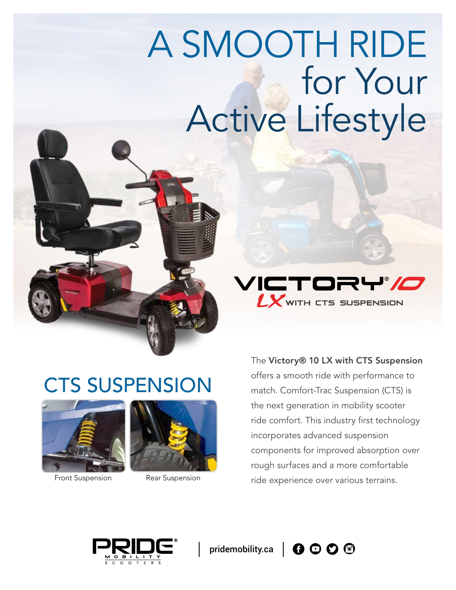# A SMOOTH RIDE for Your Active Lifestyle



VICTORY'/O  $L\mathsf{X}$  with CTS SUSPENSION

# CTS SUSPENSION



Front Suspension Rear Suspension



The Victory® 10 LX with CTS Suspension offers a smooth ride with performance to

match. Comfort-Trac Suspension (CTS) is the next generation in mobility scooter ride comfort. This industry first technology incorporates advanced suspension components for improved absorption over rough surfaces and a more comfortable ride experience over various terrains.